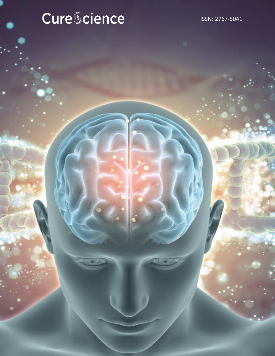# Cure Cience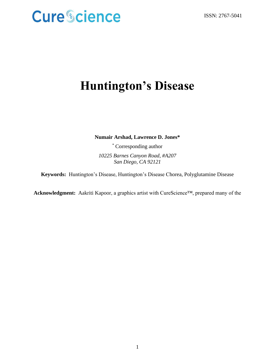### **Huntington's Disease**

**Numair Arshad, Lawrence D. Jones\***

\* Corresponding author *10225 Barnes Canyon Road, #A207 San Diego, CA 92121*

**Keywords:** Huntington's Disease, Huntington's Disease Chorea, Polyglutamine Disease

**Acknowledgment:** Aakriti Kapoor, a graphics artist with CureScience™, prepared many of the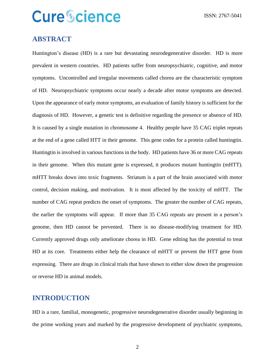### **ABSTRACT**

Huntington's disease (HD) is a rare but devastating neurodegenerative disorder. HD is more prevalent in western countries. HD patients suffer from neuropsychiatric, cognitive, and motor symptoms. Uncontrolled and irregular movements called chorea are the characteristic symptom of HD. Neuropsychiatric symptoms occur nearly a decade after motor symptoms are detected. Upon the appearance of early motor symptoms, an evaluation of family history is sufficient for the diagnosis of HD. However, a genetic test is definitive regarding the presence or absence of HD. It is caused by a single mutation in chromosome 4. Healthy people have 35 CAG triplet repeats at the end of a gene called HTT in their genome. This gene codes for a protein called huntingtin. Huntingtin is involved in various functions in the body. HD patients have 36 or more CAG repeats in their genome. When this mutant gene is expressed, it produces mutant huntingtin (mHTT). mHTT breaks down into toxic fragments. Striatum is a part of the brain associated with motor control, decision making, and motivation. It is most affected by the toxicity of mHTT. The number of CAG repeat predicts the onset of symptoms. The greater the number of CAG repeats, the earlier the symptoms will appear. If more than 35 CAG repeats are present in a person's genome, then HD cannot be prevented. There is no disease-modifying treatment for HD. Currently approved drugs only ameliorate chorea in HD. Gene editing has the potential to treat HD at its core. Treatments either help the clearance of mHTT or prevent the HTT gene from expressing. There are drugs in clinical trials that have shown to either slow down the progression or reverse HD in animal models.

### **INTRODUCTION**

HD is a rare, familial, monogenetic, progressive neurodegenerative disorder usually beginning in the prime working years and marked by the progressive development of psychiatric symptoms,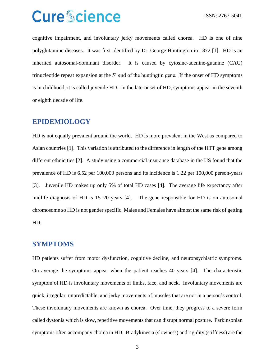cognitive impairment, and involuntary jerky movements called chorea. HD is one of nine polyglutamine diseases. It was first identified by Dr. George Huntington in 1872 [1]. HD is an inherited autosomal-dominant disorder. It is caused by cytosine-adenine-guanine (CAG) trinucleotide repeat expansion at the 5' end of the huntingtin gene. If the onset of HD symptoms is in childhood, it is called juvenile HD. In the late-onset of HD, symptoms appear in the seventh or eighth decade of life.

### **EPIDEMIOLOGY**

HD is not equally prevalent around the world. HD is more prevalent in the West as compared to Asian countries [1]. This variation is attributed to the difference in length of the HTT gene among different ethnicities [2]. A study using a commercial insurance database in the US found that the prevalence of HD is 6.52 per 100,000 persons and its incidence is 1.22 per 100,000 person-years [3]. Juvenile HD makes up only 5% of total HD cases [4]. The average life expectancy after midlife diagnosis of HD is 15–20 years [4]. The gene responsible for HD is on autosomal chromosome so HD is not gender specific. Males and Females have almost the same risk of getting HD.

### **SYMPTOMS**

HD patients suffer from motor dysfunction, cognitive decline, and neuropsychiatric symptoms. On average the symptoms appear when the patient reaches 40 years [4]. The characteristic symptom of HD is involuntary movements of limbs, face, and neck. Involuntary movements are quick, irregular, unpredictable, and jerky movements of muscles that are not in a person's control. These involuntary movements are known as chorea. Over time, they progress to a severe form called dystonia which is slow, repetitive movements that can disrupt normal posture. Parkinsonian symptoms often accompany chorea in HD. Bradykinesia (slowness) and rigidity (stiffness) are the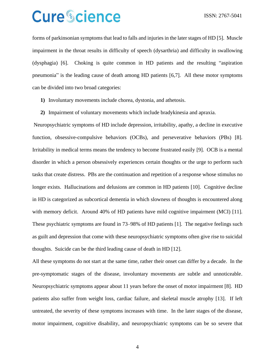forms of parkinsonian symptoms that lead to falls and injuries in the later stages of HD [5]. Muscle impairment in the throat results in difficulty of speech (dysarthria) and difficulty in swallowing (dysphagia) [6]. Choking is quite common in HD patients and the resulting "aspiration pneumonia" is the leading cause of death among HD patients [6,7]. All these motor symptoms can be divided into two broad categories:

- **1)** Involuntary movements include chorea, dystonia, and athetosis.
- **2)** Impairment of voluntary movements which include bradykinesia and apraxia.

Neuropsychiatric symptoms of HD include depression, irritability, apathy, a decline in executive function, obsessive-compulsive behaviors (OCBs), and perseverative behaviors (PBs) [8]. Irritability in medical terms means the tendency to become frustrated easily [9]. OCB is a mental disorder in which a person obsessively experiences certain thoughts or the urge to perform such tasks that create distress. PBs are the continuation and repetition of a response whose stimulus no longer exists. Hallucinations and delusions are common in HD patients [10]. Cognitive decline in HD is categorized as subcortical dementia in which slowness of thoughts is encountered along with memory deficit. Around 40% of HD patients have mild cognitive impairment (MCI) [11]. These psychiatric symptoms are found in 73–98% of HD patients [1]. The negative feelings such as guilt and depression that come with these neuropsychiatric symptoms often give rise to suicidal thoughts. Suicide can be the third leading cause of death in HD [12].

All these symptoms do not start at the same time, rather their onset can differ by a decade. In the pre-symptomatic stages of the disease, involuntary movements are subtle and unnoticeable. Neuropsychiatric symptoms appear about 11 years before the onset of motor impairment [8]. HD patients also suffer from weight loss, cardiac failure, and skeletal muscle atrophy [13]. If left untreated, the severity of these symptoms increases with time. In the later stages of the disease, motor impairment, cognitive disability, and neuropsychiatric symptoms can be so severe that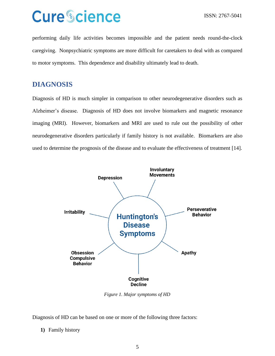performing daily life activities becomes impossible and the patient needs round-the-clock caregiving. Nonpsychiatric symptoms are more difficult for caretakers to deal with as compared to motor symptoms. This dependence and disability ultimately lead to death.

### **DIAGNOSIS**

Diagnosis of HD is much simpler in comparison to other neurodegenerative disorders such as Alzheimer's disease. Diagnosis of HD does not involve biomarkers and magnetic resonance imaging (MRI). However, biomarkers and MRI are used to rule out the possibility of other neurodegenerative disorders particularly if family history is not available. Biomarkers are also used to determine the prognosis of the disease and to evaluate the effectiveness of treatment [14].



*Figure 1. Major symptoms of HD*

Diagnosis of HD can be based on one or more of the following three factors:

**1)** Family history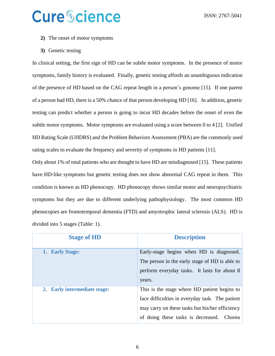- **2)** The onset of motor symptoms
- **3)** Genetic testing

In clinical setting, the first sign of HD can be subtle motor symptoms. In the presence of motor symptoms, family history is evaluated. Finally, genetic testing affords an unambiguous indication of the presence of HD based on the CAG repeat length in a person's genome [15]. If one parent of a person had HD, there is a 50% chance of that person developing HD [16]. In addition, genetic testing can predict whether a person is going to incur HD decades before the onset of even the subtle motor symptoms. Motor symptoms are evaluated using a score between 0 to 4 [2]. Unified HD Rating Scale (UHDRS) and the Problem Behaviors Assessment (PBA) are the commonly used rating scales to evaluate the frequency and severity of symptoms in HD patients [11].

Only about 1% of total patients who are thought to have HD are misdiagnosed [15]. These patients have HD-like symptoms but genetic testing does not show abnormal CAG repeat in them. This condition is known as HD phenocopy. HD phenocopy shows similar motor and neuropsychiatric symptoms but they are due to different underlying pathophysiology. The most common HD phenocopies are frontotemporal dementia (FTD) and amyotrophic lateral sclerosis (ALS). HD is divided into 5 stages (Table: 1).

| <b>Stage of HD</b>           | <b>Description</b>                              |
|------------------------------|-------------------------------------------------|
| <b>Early Stage:</b><br>1.    | Early-stage begins when HD is diagnosed.        |
|                              | The person in the early stage of HD is able to  |
|                              | perform everyday tasks. It lasts for about 8    |
|                              | years.                                          |
| 2. Early intermediate stage: | This is the stage where HD patient begins to    |
|                              | face difficulties in everyday task. The patient |
|                              | may carry on these tasks but his/her efficiency |
|                              | of doing these tasks is decreased. Chorea       |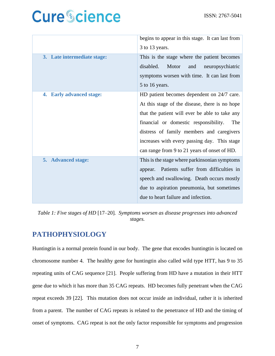|                                    | begins to appear in this stage. It can last from |
|------------------------------------|--------------------------------------------------|
|                                    | 3 to 13 years.                                   |
| 3. Late intermediate stage:        | This is the stage where the patient becomes      |
|                                    | disabled.<br>Motor<br>and<br>neuropsychiatric    |
|                                    | symptoms worsen with time. It can last from      |
|                                    | 5 to 16 years.                                   |
| <b>Early advanced stage:</b><br>4. | HD patient becomes dependent on 24/7 care.       |
|                                    | At this stage of the disease, there is no hope   |
|                                    | that the patient will ever be able to take any   |
|                                    | financial or domestic responsibility.<br>The     |
|                                    | distress of family members and caregivers        |
|                                    | increases with every passing day. This stage     |
|                                    | can range from 9 to 21 years of onset of HD.     |
| 5. Advanced stage:                 | This is the stage where parkinsonian symptoms    |
|                                    | appear. Patients suffer from difficulties in     |
|                                    | speech and swallowing. Death occurs mostly       |
|                                    | due to aspiration pneumonia, but sometimes       |
|                                    | due to heart failure and infection.              |

*Table 1: Five stages of HD* [17–20]*. Symptoms worsen as disease progresses into advanced stages.*

### **PATHOPHYSIOLOGY**

Huntingtin is a normal protein found in our body. The gene that encodes huntingtin is located on chromosome number 4. The healthy gene for huntingtin also called wild type HTT, has 9 to 35 repeating units of CAG sequence [21]. People suffering from HD have a mutation in their HTT gene due to which it has more than 35 CAG repeats. HD becomes fully penetrant when the CAG repeat exceeds 39 [22]. This mutation does not occur inside an individual, rather it is inherited from a parent. The number of CAG repeats is related to the penetrance of HD and the timing of onset of symptoms. CAG repeat is not the only factor responsible for symptoms and progression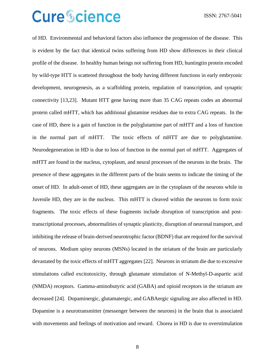of HD. Environmental and behavioral factors also influence the progression of the disease. This is evident by the fact that identical twins suffering from HD show differences in their clinical profile of the disease. In healthy human beings not suffering from HD, huntingtin protein encoded by wild-type HTT is scattered throughout the body having different functions in early embryonic development, neurogenesis, as a scaffolding protein, regulation of transcription, and synaptic connectivity [13,23]. Mutant HTT gene having more than 35 CAG repeats codes an abnormal protein called mHTT, which has additional glutamine residues due to extra CAG repeats. In the case of HD, there is a gain of function in the polyglutamine part of mHTT and a loss of function in the normal part of mHTT. The toxic effects of mHTT are due to polyglutamine. Neurodegeneration in HD is due to loss of function in the normal part of mHTT. Aggregates of mHTT are found in the nucleus, cytoplasm, and neural processes of the neurons in the brain. The presence of these aggregates in the different parts of the brain seems to indicate the timing of the onset of HD. In adult-onset of HD, these aggregates are in the cytoplasm of the neurons while in Juvenile HD, they are in the nucleus. This mHTT is cleaved within the neurons to form toxic fragments. The toxic effects of these fragments include disruption of transcription and posttranscriptional processes, abnormalities of synaptic plasticity, disruption of neuronal transport, and inhibiting the release of brain-derived neurotrophic factor (BDNF) that are required for the survival of neurons. Medium spiny neurons (MSNs) located in the striatum of the brain are particularly devastated by the toxic effects of mHTT aggregates [22]. Neurons in striatum die due to excessive stimulations called excitotoxicity, through glutamate stimulation of N-Methyl-D-aspartic acid (NMDA) receptors. Gamma-aminobutyric acid (GABA) and opioid receptors in the striatum are decreased [24]. Dopaminergic, glutamatergic, and GABAergic signaling are also affected in HD. Dopamine is a neurotransmitter (messenger between the neurons) in the brain that is associated with movements and feelings of motivation and reward. Chorea in HD is due to overstimulation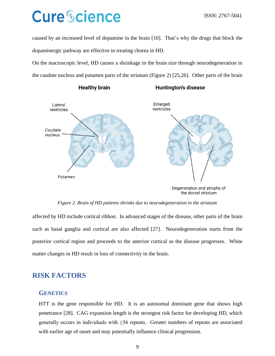caused by an increased level of dopamine in the brain [10]. That's why the drugs that block the dopaminergic pathway are effective in treating chorea in HD.

On the macroscopic level, HD causes a shrinkage in the brain size through neurodegeneration in the caudate nucleus and putamen parts of the striatum (Figure 2) [25,26]. Other parts of the brain



*Figure 2. Brain of HD patients shrinks due to neurodegeneration in the striatum*

affected by HD include cortical ribbon. In advanced stages of the disease, other parts of the brain such as basal ganglia and cortical are also affected [27]. Neurodegeneration starts from the posterior cortical region and proceeds to the anterior cortical as the disease progresses. White matter changes in HD result in loss of connectivity in the brain.

### **RISK FACTORS**

#### **GENETICS**

HTT is the gene responsible for HD. It is an autosomal dominant gene that shows high penetrance [28]. CAG expansion length is the strongest risk factor for developing HD, which generally occurs in individuals with  $\geq$ 36 repeats. Greater numbers of repeats are associated with earlier age of onset and may potentially influence clinical progression.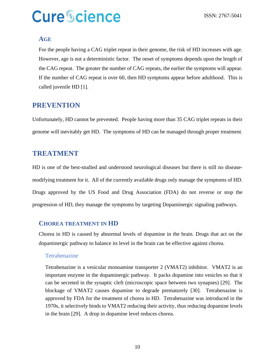#### **AGE**

For the people having a CAG triplet repeat in their genome, the risk of HD increases with age. However, age is not a deterministic factor. The onset of symptoms depends upon the length of the CAG repeat. The greater the number of CAG repeats, the earlier the symptoms will appear. If the number of CAG repeat is over 60, then HD symptoms appear before adulthood. This is called juvenile HD [1].

### **PREVENTION**

Unfortunately, HD cannot be prevented. People having more than 35 CAG triplet repeats in their genome will inevitably get HD. The symptoms of HD can be managed through proper treatment.

### **TREATMENT**

HD is one of the best-studied and understood neurological diseases but there is still no diseasemodifying treatment for it. All of the currently available drugs only manage the symptoms of HD. Drugs approved by the US Food and Drug Association (FDA) do not reverse or stop the progression of HD, they manage the symptoms by targeting Dopaminergic signaling pathways.

### **CHOREA TREATMENT IN HD**

Chorea in HD is caused by abnormal levels of dopamine in the brain. Drugs that act on the dopaminergic pathway to balance its level in the brain can be effective against chorea.

#### **Tetrabenazine**

Tetrabenazine is a vesicular monoamine transporter 2 (VMAT2) inhibitor. VMAT2 is an important enzyme in the dopaminergic pathway. It packs dopamine into vesicles so that it can be secreted in the synaptic cleft (microscopic space between two synapses) [29]. The blockage of VMAT2 causes dopamine to degrade prematurely [30]. Tetrabenazine is approved by FDA for the treatment of chorea in HD. Tetrabenazine was introduced in the 1970s, it selectively binds to VMAT2 reducing their activity, thus reducing dopamine levels in the brain [29]. A drop in dopamine level reduces chorea.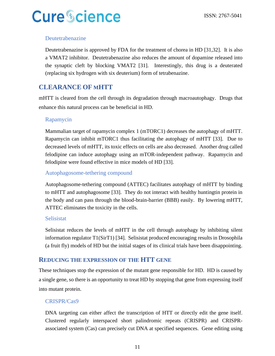### Deutetrabenazine

Deutetrabenazine is approved by FDA for the treatment of chorea in HD [31,32]. It is also a VMAT2 inhibitor. Deutetrabenazine also reduces the amount of dopamine released into the synaptic cleft by blocking VMAT2 [31]. Interestingly, this drug is a deuterated (replacing six hydrogen with six deuterium) form of tetrabenazine.

### **CLEARANCE OF MHTT**

mHTT is cleared from the cell through its degradation through macroautophagy. Drugs that enhance this natural process can be beneficial in HD.

### Rapamycin

Mammalian target of rapamycin complex 1 (mTORC1) decreases the autophagy of mHTT. Rapamycin can inhibit mTORC1 thus facilitating the autophagy of mHTT [33]. Due to decreased levels of mHTT, its toxic effects on cells are also decreased. Another drug called felodipine can induce autophagy using an mTOR-independent pathway. Rapamycin and felodipine were found effective in mice models of HD [33].

### Autophagosome-tethering compound

Autophagosome-tethering compound (ATTEC) facilitates autophagy of mHTT by binding to mHTT and autophagosome [33]. They do not interact with healthy huntingtin protein in the body and can pass through the blood-brain-barrier (BBB) easily. By lowering mHTT, ATTEC eliminates the toxicity in the cells.

### Selisistat

Selisistat reduces the levels of mHTT in the cell through autophagy by inhibiting silent information regulator T1(SirT1) [34]. Selisistat produced encouraging results in Drosophila (a fruit fly) models of HD but the initial stages of its clinical trials have been disappointing.

### **REDUCING THE EXPRESSION OF THE HTT GENE**

These techniques stop the expression of the mutant gene responsible for HD. HD is caused by a single gene, so there is an opportunity to treat HD by stopping that gene from expressing itself into mutant protein.

### CRISPR/Cas9

DNA targeting can either affect the transcription of HTT or directly edit the gene itself. Clustered regularly interspaced short palindromic repeats (CRISPR) and CRISPRassociated system (Cas) can precisely cut DNA at specified sequences. Gene editing using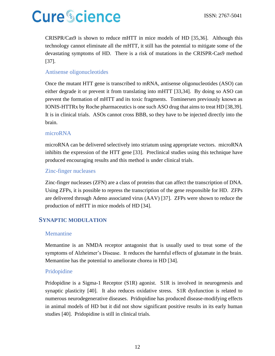CRISPR/Cas9 is shown to reduce mHTT in mice models of HD [35,36]. Although this technology cannot eliminate all the mHTT, it still has the potential to mitigate some of the devastating symptoms of HD. There is a risk of mutations in the CRISPR-Cas9 method [37].

### Antisense oligonucleotides

Once the mutant HTT gene is transcribed to mRNA, antisense oligonucleotides (ASO) can either degrade it or prevent it from translating into mHTT [33,34]. By doing so ASO can prevent the formation of mHTT and its toxic fragments. Tominersen previously known as IONIS-HTTRx by Roche pharmaceutics is one such ASO drug that aims to treat HD [38,39]. It is in clinical trials. ASOs cannot cross BBB, so they have to be injected directly into the brain.

### microRNA

microRNA can be delivered selectively into striatum using appropriate vectors. microRNA inhibits the expression of the HTT gene [33]. Preclinical studies using this technique have produced encouraging results and this method is under clinical trials.

#### Zinc-finger nucleases

Zinc-finger nucleases (ZFN) are a class of proteins that can affect the transcription of DNA. Using ZFPs, it is possible to repress the transcription of the gene responsible for HD. ZFPs are delivered through Adeno associated virus (AAV) [37]. ZFPs were shown to reduce the production of mHTT in mice models of HD [34].

### **SYNAPTIC MODULATION**

#### Memantine

Memantine is an NMDA receptor antagonist that is usually used to treat some of the symptoms of Alzheimer's Disease. It reduces the harmful effects of glutamate in the brain. Memantine has the potential to ameliorate chorea in HD [34].

#### Pridopidine

Pridopidine is a Sigma-1 Receptor (S1R) agonist. S1R is involved in neurogenesis and synaptic plasticity [40]. It also reduces oxidative stress. S1R dysfunction is related to numerous neurodegenerative diseases. Pridopidine has produced disease-modifying effects in animal models of HD but it did not show significant positive results in its early human studies [40]. Pridopidine is still in clinical trials.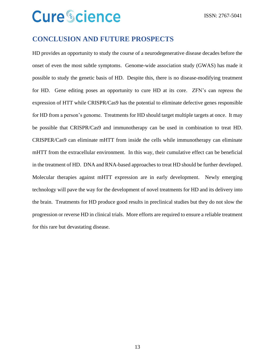### **CONCLUSION AND FUTURE PROSPECTS**

HD provides an opportunity to study the course of a neurodegenerative disease decades before the onset of even the most subtle symptoms. Genome-wide association study (GWAS) has made it possible to study the genetic basis of HD. Despite this, there is no disease-modifying treatment for HD. Gene editing poses an opportunity to cure HD at its core. ZFN's can repress the expression of HTT while CRISPR/Cas9 has the potential to eliminate defective genes responsible for HD from a person's genome. Treatments for HD should target multiple targets at once. It may be possible that CRISPR/Cas9 and immunotherapy can be used in combination to treat HD. CRISPER/Cas9 can eliminate mHTT from inside the cells while immunotherapy can eliminate mHTT from the extracellular environment. In this way, their cumulative effect can be beneficial in the treatment of HD. DNA and RNA-based approaches to treat HD should be further developed. Molecular therapies against mHTT expression are in early development. Newly emerging technology will pave the way for the development of novel treatments for HD and its delivery into the brain. Treatments for HD produce good results in preclinical studies but they do not slow the progression or reverse HD in clinical trials. More efforts are required to ensure a reliable treatment for this rare but devastating disease.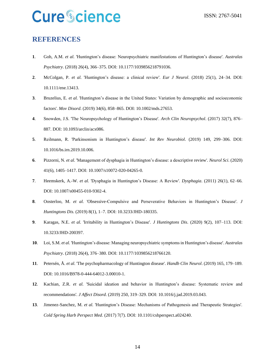### **REFERENCES**

- **1**. Goh, A.M. *et al.* 'Huntington's disease: Neuropsychiatric manifestations of Huntington's disease'. *Australas Psychiatry*. (2018) 26(4), 366–375. DOI: 10.1177/1039856218791036.
- **2**. McColgan, P. *et al.* 'Huntington's disease: a clinical review'. *Eur J Neurol*. (2018) 25(1), 24–34. DOI: 10.1111/ene.13413.
- **3**. Bruzelius, E. *et al.* 'Huntington's disease in the United States: Variation by demographic and socioeconomic factors'. *Mov Disord*. (2019) 34(6), 858–865. DOI: 10.1002/mds.27653.
- **4**. Snowden, J.S. 'The Neuropsychology of Huntington's Disease'. *Arch Clin Neuropsychol*. (2017) 32(7), 876– 887. DOI: 10.1093/arclin/acx086.
- **5**. Reilmann, R. 'Parkinsonism in Huntington's disease'. *Int Rev Neurobiol*. (2019) 149, 299–306. DOI: 10.1016/bs.irn.2019.10.006.
- **6**. Pizzorni, N. *et al.* 'Management of dysphagia in Huntington's disease: a descriptive review'. *Neurol Sci*. (2020) 41(6), 1405–1417. DOI: 10.1007/s10072-020-04265-0.
- **7**. Heemskerk, A.-W. *et al.* 'Dysphagia in Huntington's Disease: A Review'. *Dysphagia*. (2011) 26(1), 62–66. DOI: 10.1007/s00455-010-9302-4.
- **8**. Oosterloo, M. *et al.* 'Obsessive-Compulsive and Perseverative Behaviors in Huntington's Disease'. *J Huntingtons Dis*. (2019) 8(1), 1–7. DOI: 10.3233/JHD-180335.
- **9**. Karagas, N.E. *et al.* 'Irritability in Huntington's Disease'. *J Huntingtons Dis*. (2020) 9(2), 107–113. DOI: 10.3233/JHD-200397.
- **10**. Loi, S.M. *et al.* 'Huntington's disease: Managing neuropsychiatric symptoms in Huntington's disease'. *Australas Psychiatry*. (2018) 26(4), 376–380. DOI: 10.1177/1039856218766120.
- **11**. Petersén, Å. *et al.* 'The psychopharmacology of Huntington disease'. *Handb Clin Neurol*. (2019) 165, 179–189. DOI: 10.1016/B978-0-444-64012-3.00010-1.
- **12**. Kachian, Z.R. *et al.* 'Suicidal ideation and behavior in Huntington's disease: Systematic review and recommendations'. *J Affect Disord*. (2019) 250, 319–329. DOI: 10.1016/j.jad.2019.03.043.
- **13**. Jimenez-Sanchez, M. *et al.* 'Huntington's Disease: Mechanisms of Pathogenesis and Therapeutic Strategies'. *Cold Spring Harb Perspect Med*. (2017) 7(7). DOI: 10.1101/cshperspect.a024240.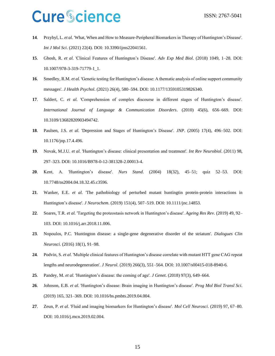- **14**. Przybyl, L. *et al.* 'What, When and How to Measure-Peripheral Biomarkers in Therapy of Huntington's Disease'. *Int J Mol Sci*. (2021) 22(4). DOI: 10.3390/ijms22041561.
- **15**. Ghosh, R. *et al.* 'Clinical Features of Huntington's Disease'. *Adv Exp Med Biol*. (2018) 1049, 1–28. DOI: 10.1007/978-3-319-71779-1\_1.
- **16**. Smedley, R.M. *et al.* 'Genetic testing for Huntington's disease: A thematic analysis of online support community messages'. *J Health Psychol*. (2021) 26(4), 580–594. DOI: 10.1177/1359105319826340.
- **17**. Saldert, C. *et al.* 'Comprehension of complex discourse in different stages of Huntington's disease'. *International Journal of Language & Communication Disorders*. (2010) 45(6), 656–669. DOI: 10.3109/13682820903494742.
- **18**. Paulsen, J.S. *et al.* 'Depression and Stages of Huntington's Disease'. *JNP*. (2005) 17(4), 496–502. DOI: 10.1176/jnp.17.4.496.
- **19**. Novak, M.J.U. *et al.* 'Huntington's disease: clinical presentation and treatment'. *Int Rev Neurobiol*. (2011) 98, 297–323. DOI: 10.1016/B978-0-12-381328-2.00013-4.
- **20**. Kent, A. 'Huntington's disease'. *Nurs Stand*. (2004) 18(32), 45–51; quiz 52–53. DOI: 10.7748/ns2004.04.18.32.45.c3596.
- **21**. Wanker, E.E. *et al.* 'The pathobiology of perturbed mutant huntingtin protein-protein interactions in Huntington's disease'. *J Neurochem*. (2019) 151(4), 507–519. DOI: 10.1111/jnc.14853.
- **22**. Soares, T.R. *et al.* 'Targeting the proteostasis network in Huntington's disease'. *Ageing Res Rev*. (2019) 49, 92– 103. DOI: 10.1016/j.arr.2018.11.006.
- **23**. Nopoulos, P.C. 'Huntington disease: a single-gene degenerative disorder of the striatum'. *Dialogues Clin Neurosci*. (2016) 18(1), 91–98.
- **24**. Podvin, S. *et al.* 'Multiple clinical features of Huntington's disease correlate with mutant HTT gene CAG repeat lengths and neurodegeneration'. *J Neurol*. (2019) 266(3), 551–564. DOI: 10.1007/s00415-018-8940-6.
- **25**. Pandey, M. *et al.* 'Huntington's disease: the coming of age'. *J Genet*. (2018) 97(3), 649–664.
- **26**. Johnson, E.B. *et al.* 'Huntington's disease: Brain imaging in Huntington's disease'. *Prog Mol Biol Transl Sci*. (2019) 165, 321–369. DOI: 10.1016/bs.pmbts.2019.04.004.
- **27**. Zeun, P. *et al.* 'Fluid and imaging biomarkers for Huntington's disease'. *Mol Cell Neurosci*. (2019) 97, 67–80. DOI: 10.1016/j.mcn.2019.02.004.